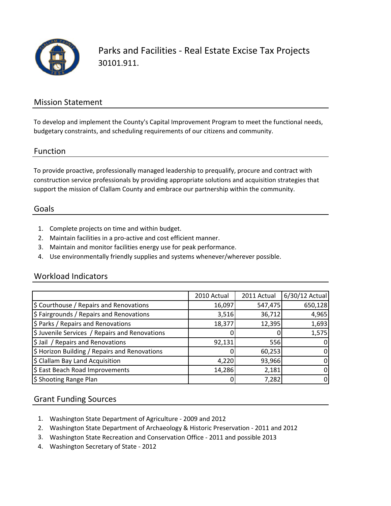

Parks and Facilities ‐ Real Estate Excise Tax Projects 30101.911.

### Mission Statement

To develop and implement the County's Capital Improvement Program to meet the functional needs, budgetary constraints, and scheduling requirements of our citizens and community.

#### Function

To provide proactive, professionally managed leadership to prequalify, procure and contract with construction service professionals by providing appropriate solutions and acquisition strategies that support the mission of Clallam County and embrace our partnership within the community.

#### Goals

- 1. Complete projects on time and within budget.
- 2. Maintain facilities in a pro‐active and cost efficient manner.
- 3. Maintain and monitor facilities energy use for peak performance.
- 4. Use environmentally friendly supplies and systems whenever/wherever possible.

#### Workload Indicators

|                                                | 2010 Actual | 2011 Actual | 6/30/12 Actual |
|------------------------------------------------|-------------|-------------|----------------|
| \$ Courthouse / Repairs and Renovations        | 16,097      | 547,475     | 650,128        |
| \$ Fairgrounds / Repairs and Renovations       | 3,516       | 36,712      | 4,965          |
| \$ Parks / Repairs and Renovations             | 18,377      | 12,395      | 1,693          |
| \$ Juvenile Services / Repairs and Renovations |             |             | 1,575          |
| \$ Jail / Repairs and Renovations              | 92,131      | 556         | $\mathbf{0}$   |
| \$ Horizon Building / Repairs and Renovations  |             | 60,253      | 0              |
| \$ Clallam Bay Land Acquisition                | 4,220       | 93,966      | 0              |
| \$ East Beach Road Improvements                | 14,286      | 2,181       |                |
| \$ Shooting Range Plan                         |             | 7,282       | 0              |

## Grant Funding Sources

- 1. Washington State Department of Agriculture ‐ 2009 and 2012
- 2. Washington State Department of Archaeology & Historic Preservation ‐ 2011 and 2012
- 3. Washington State Recreation and Conservation Office ‐ 2011 and possible 2013
- 4. Washington Secretary of State ‐ 2012